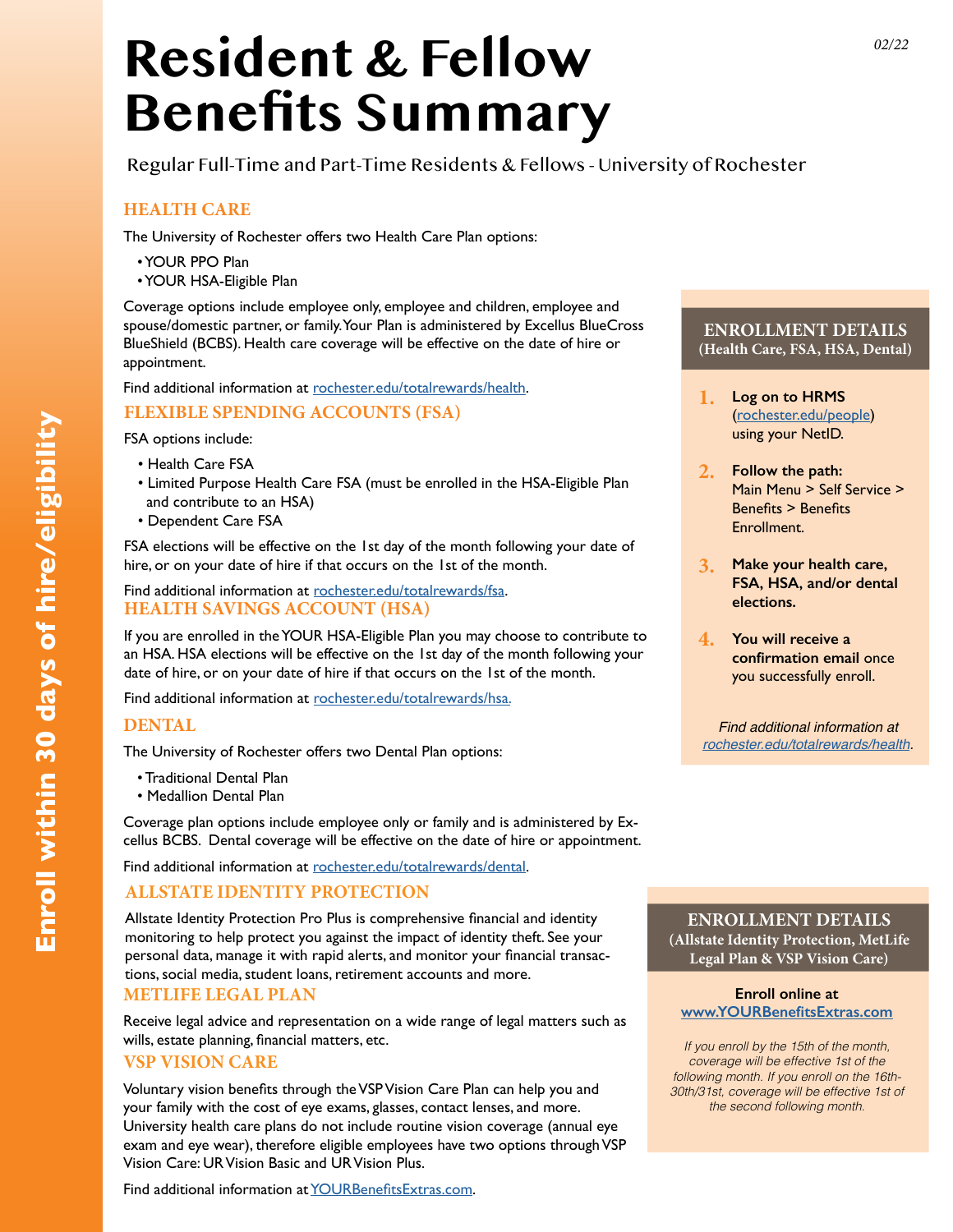# **Resident & Fellow Benefits Summary**

Regular Full-Time and Part-Time Residents & Fellows - University of Rochester

# **HEALTH CARE**

The University of Rochester offers two Health Care Plan options:

- YOUR PPO Plan
- YOUR HSA-Eligible Plan

Coverage options include employee only, employee and children, employee and spouse/domestic partner, or family. Your Plan is administered by Excellus BlueCross BlueShield (BCBS). Health care coverage will be effective on the date of hire or appointment.

Find additional information at [rochester.edu/totalrewards/health.](http://www.rochester.edu/working/hr/benefits/health/healthcare.html)

# **FLEXIBLE SPENDING ACCOUNTS (FSA)**

FSA options include:

- Health Care FSA
- Limited Purpose Health Care FSA (must be enrolled in the HSA-Eligible Plan and contribute to an HSA)
- Dependent Care FSA

FSA elections will be effective on the 1st day of the month following your date of hire, or on your date of hire if that occurs on the 1st of the month.

#### Find additional information at [rochester.edu/totalrewards/f](http://www.rochester.edu/working/hr/benefits/fsa/)sa. **HEALTH SAVINGS ACCOUNT (HSA)**

If you are enrolled in the YOUR HSA-Eligible Plan you may choose to contribute to an HSA. HSA elections will be effective on the 1st day of the month following your date of hire, or on your date of hire if that occurs on the 1st of the month.

Find additional information at [rochester.edu/totalrewards/hs](http://www.rochester.edu/working/hr/benefits/hsa/)a.

# **DENTAL**

The University of Rochester offers two Dental Plan options:

- Traditional Dental Plan
- Medallion Dental Plan

Coverage plan options include employee only or family and is administered by Excellus BCBS. Dental coverage will be effective on the date of hire or appointment.

Find additional information at [rochester.edu/totalrewards/](http://www.rochester.edu/working/hr/benefits/dental/)dental.

# **ALLSTATE IDENTITY PROTECTION**

Allstate Identity Protection Pro Plus is comprehensive financial and identity monitoring to help protect you against the impact of identity theft. See your personal data, manage it with rapid alerts, and monitor your financial transactions, social media, student loans, retirement accounts and more.

#### **METLIFE LEGAL PLAN**

Receive legal advice and representation on a wide range of legal matters such as wills, estate planning, financial matters, etc.

#### **VSP VISION CARE**

Voluntary vision benefits through the VSP Vision Care Plan can help you and your family with the cost of eye exams, glasses, contact lenses, and more. University health care plans do not include routine vision coverage (annual eye exam and eye wear), therefore eligible employees have two options through VSP Vision Care: UR Vision Basic and UR Vision Plus.

Find additional information at [YOURBenefitsExtras.com](http://YOURBenefitsExtras.com).

# **ENROLLMENT DETAILS (Health Care, FSA, HSA, Dental)**

- **Log on to HRMS** ([rochester.edu/people](http://rochester.edu/people)) using your NetID. **1.**
- **Follow the path:**  Main Menu > Self Service > Benefits > Benefits **Enrollment 2.**
- **Make your health care, FSA, HSA, and/or dental elections. 3.**
- **You will receive a 4. confirmation email** once you successfully enroll.

*Find additional information at [rochester.edu/totalrewards/health.](http://rochester.edu/totalrewards/health)*

#### **ENROLLMENT DETAILS (Allstate Identity Protection, MetLife Legal Plan & VSP Vision Care)**

#### **Enroll online at [www.YOURBenefitsExtras.com](http://www.YOURBenefitsExtras.com)**

*If you enroll by the 15th of the month, coverage will be effective 1st of the following month. If you enroll on the 16th-30th/31st, coverage will be effective 1st of the second following month.*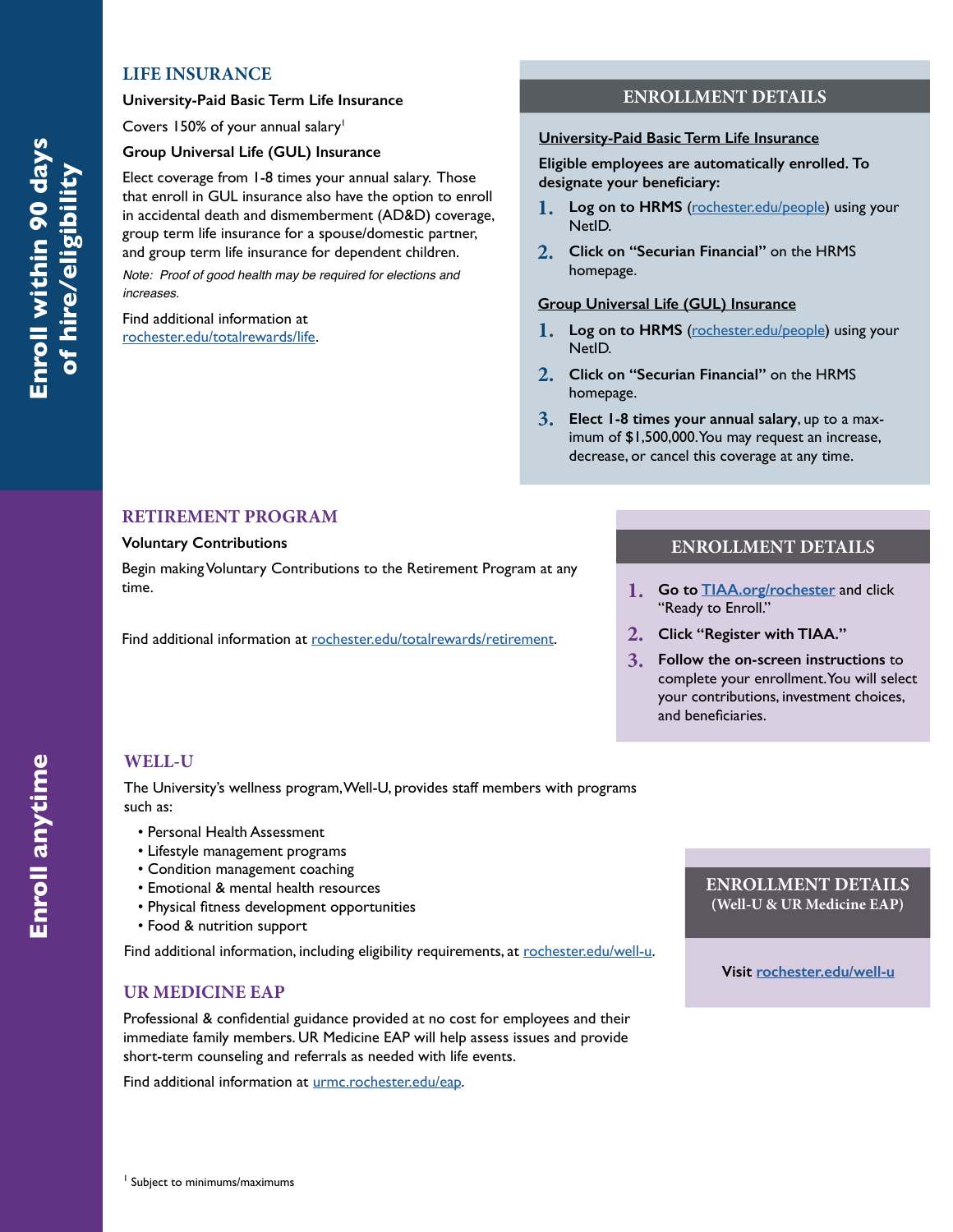#### **LIFE INSURANCE**

#### **University-Paid Basic Term Life Insurance**

Covers 150% of your annual salary<sup>1</sup>

#### **Group Universal Life (GUL) Insurance**

Elect coverage from 1-8 times your annual salary. Those that enroll in GUL insurance also have the option to enroll in accidental death and dismemberment (AD&D) coverage, group term life insurance for a spouse/domestic partner, and group term life insurance for dependent children.

*Note: Proof of good health may be required for elections and increases.*

Find additional information at [rochester.edu/totalrewards/life.](http://rochester.edu/totalrewards/life)

#### **ENROLLMENT DETAILS**

#### **University-Paid Basic Term Life Insurance**

**Eligible employees are automatically enrolled. To designate your beneficiary:**

- **1.**  Log on to HRMS ([rochester.edu/people](http://rochester.edu/people)) using your NetID.
- **2. Click on "Securian Financial"** on the HRMS homepage.

#### **Group Universal Life (GUL) Insurance**

- **1. Log on to HRMS** ([rochester.edu/people](http://rochester.edu/people)) using your NetID.
- **2. Click on "Securian Financial"** on the HRMS homepage.
- **3. Elect 1-8 times your annual salary**, up to a maximum of \$1,500,000. You may request an increase, decrease, or cancel this coverage at any time.

#### **RETIREMENT PROGRAM**

#### **Voluntary Contributions**

Begin making Voluntary Contributions to the Retirement Program at any time.

Find additional information at [rochester.edu/totalrewards/retirement.](http://rochester.edu/totalrewards/retirement)

#### **ENROLLMENT DETAILS**

- **1. Go to [TIAA.org/rochester](http://TIAA.org/Rochester)** and click "Ready to Enroll."
- **2. Click "Register with TIAA."**
- **3. Follow the on-screen instructions** to complete your enrollment. You will select your contributions, investment choices, and beneficiaries.

# **WELL-U**

The University's wellness program, Well-U, provides staff members with programs such as:

- Personal Health Assessment
- Lifestyle management programs
- Condition management coaching
- Emotional & mental health resources
- Physical fitness development opportunities
- Food & nutrition support

Find additional information, including eligibility requirements, at [rochester.edu/well-u](http://rochester.edu/well-u).

#### **UR MEDICINE EAP**

Professional & confidential guidance provided at no cost for employees and their immediate family members. UR Medicine EAP will help assess issues and provide short-term counseling and referrals as needed with life events.

Find additional information at [urmc.rochester.edu/eap](https://www.urmc.rochester.edu/eap.aspx).

#### **ENROLLMENT DETAILS (Well-U & UR Medicine EAP)**

**Visit [rochester.edu/well-u](http://rochester.edu/well-u)**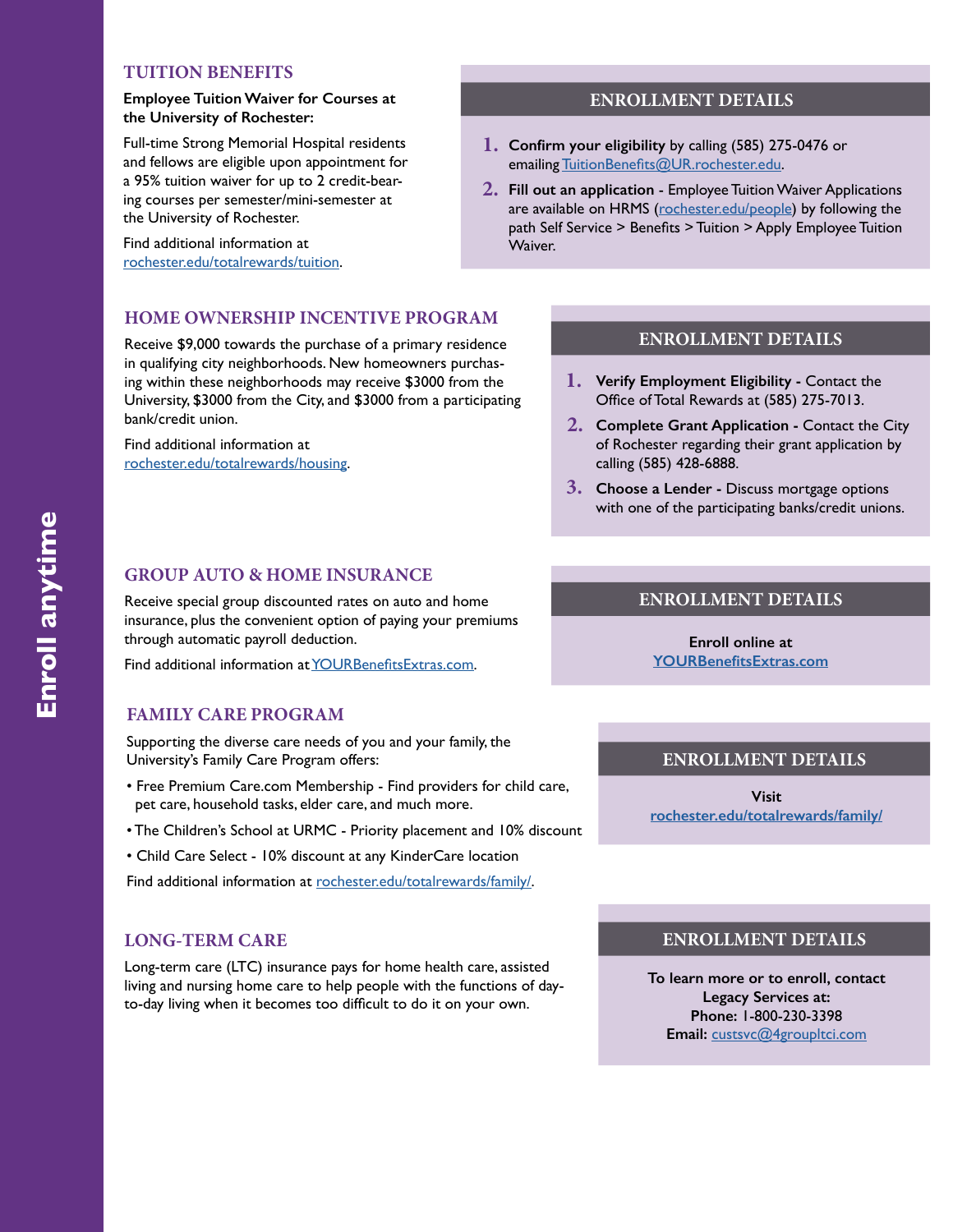# **TUITION BENEFITS**

#### **Employee Tuition Waiver for Courses at the University of Rochester:**

Full-time Strong Memorial Hospital residents and fellows are eligible upon appointment for a 95% tuition waiver for up to 2 credit-bearing courses per semester/mini-semester at the University of Rochester.

Find additional information at [rochester.edu/totalrewards/tuition](http://rochester.edu/totalrewards/tuition).

#### **HOME OWNERSHIP INCENTIVE PROGRAM**

Receive \$9,000 towards the purchase of a primary residence in qualifying city neighborhoods. New homeowners purchasing within these neighborhoods may receive \$3000 from the University, \$3000 from the City, and \$3000 from a participating bank/credit union.

Find additional information at [rochester.edu/totalrewards/housing](http://rochester.edu/totalrewards/housing).

#### **GROUP AUTO & HOME INSURANCE**

Receive special group discounted rates on auto and home insurance, plus the convenient option of paying your premiums through automatic payroll deduction.

Find additional information at [YOURBenefitsExtras.com](http://YOURBenefitsExtras.com).

#### **FAMILY CARE PROGRAM**

Supporting the diverse care needs of you and your family, the University's Family Care Program offers:

- Free Premium Care.com Membership Find providers for child care, pet care, household tasks, elder care, and much more.
- The Children's School at URMC Priority placement and 10% discount
- Child Care Select 10% discount at any KinderCare location

Find additional information at [rochester.edu/totalrewards/family/](http://rochester.edu/totalrewards/family/).

# **LONG-TERM CARE**

Long-term care (LTC) insurance pays for home health care, assisted living and nursing home care to help people with the functions of dayto-day living when it becomes too difficult to do it on your own.

#### **ENROLLMENT DETAILS**

- **Confirm your eligibility** by calling (585) 275-0476 or **1.**  emailing [TuitionBenefits@UR.rochester.edu](mailto:TuitionBenefits%40UR.rochester.edu?subject=).
- **Fill out an application** Employee Tuition Waiver Applications **2.**  are available on HRMS [\(rochester.edu/people\)](http://rochester.edu/people) by following the path Self Service > Benefits > Tuition > Apply Employee Tuition Waiver.

#### **ENROLLMENT DETAILS**

- **Verify Employment Eligibility** Contact the **1.**  Office of Total Rewards at (585) 275-7013.
- **Complete Grant Application** Contact the City **2.**  of Rochester regarding their grant application by calling (585) 428-6888.
- **Choose a Lender** Discuss mortgage options **3.**  with one of the participating banks/credit unions.

# **ENROLLMENT DETAILS**

**Enroll online at [YOURBenefitsExtras.com](http://www.YOURBenefitsExtras.com)**

#### **ENROLLMENT DETAILS**

**Visit [rochester.edu/totalrewards/family/](http://rochester.edu/totalrewards/family/)**

#### **ENROLLMENT DETAILS**

**To learn more or to enroll, contact Legacy Services at: Phone:** 1-800-230-3398 **Email:** [custsvc@4groupltci.com](mailto:custsvc%404groupltci.com?subject=)